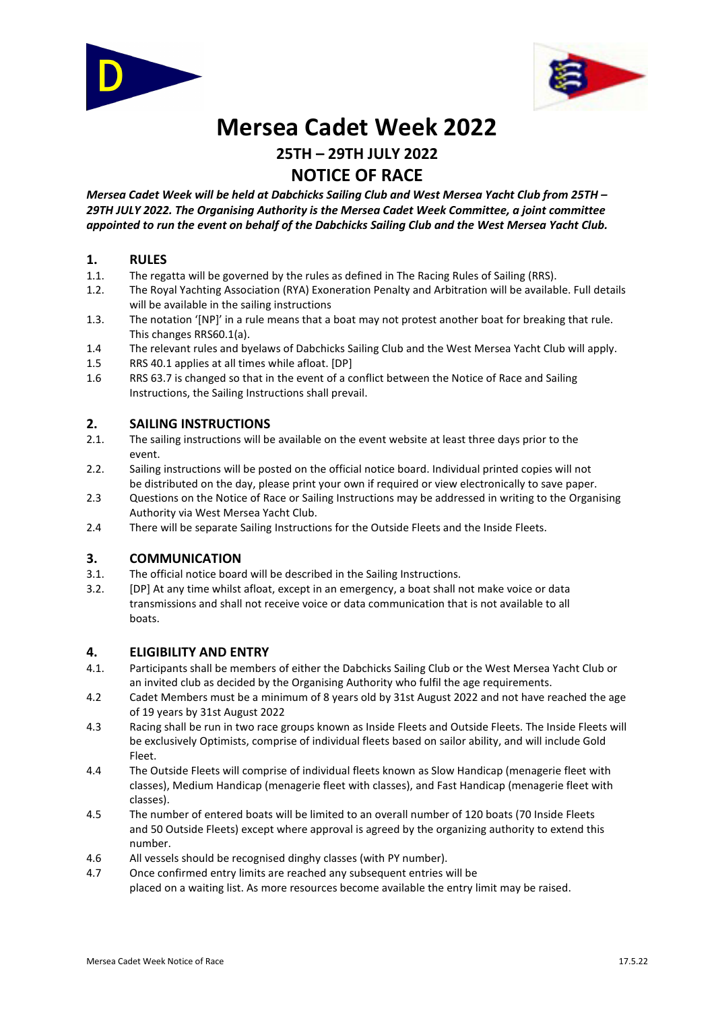



# **Mersea Cadet Week 2022**

## **25TH – 29TH JULY 2022 NOTICE OF RACE**

*Mersea Cadet Week will be held at Dabchicks Sailing Club and West Mersea Yacht Club from 25TH – 29TH JULY 2022. The Organising Authority is the Mersea Cadet Week Committee, a joint committee appointed to run the event on behalf of the Dabchicks Sailing Club and the West Mersea Yacht Club.* 

## **1. RULES**

- 1.1. The regatta will be governed by the rules as defined in The Racing Rules of Sailing (RRS).
- 1.2. The Royal Yachting Association (RYA) Exoneration Penalty and Arbitration will be available. Full details will be available in the sailing instructions
- 1.3. The notation '[NP]' in a rule means that a boat may not protest another boat for breaking that rule. This changes RRS60.1(a).
- 1.4 The relevant rules and byelaws of Dabchicks Sailing Club and the West Mersea Yacht Club will apply.
- 1.5 RRS 40.1 applies at all times while afloat. [DP]
- 1.6 RRS 63.7 is changed so that in the event of a conflict between the Notice of Race and Sailing Instructions, the Sailing Instructions shall prevail.

## **2. SAILING INSTRUCTIONS**

- 2.1. The sailing instructions will be available on the event website at least three days prior to the event.
- 2.2. Sailing instructions will be posted on the official notice board. Individual printed copies will not be distributed on the day, please print your own if required or view electronically to save paper.
- 2.3 Questions on the Notice of Race or Sailing Instructions may be addressed in writing to the Organising Authority via West Mersea Yacht Club.
- 2.4 There will be separate Sailing Instructions for the Outside Fleets and the Inside Fleets.

## **3. COMMUNICATION**

- 3.1. The official notice board will be described in the Sailing Instructions.
- 3.2. [DP] At any time whilst afloat, except in an emergency, a boat shall not make voice or data transmissions and shall not receive voice or data communication that is not available to all boats.

## **4. ELIGIBILITY AND ENTRY**

- 4.1. Participants shall be members of either the Dabchicks Sailing Club or the West Mersea Yacht Club or an invited club as decided by the Organising Authority who fulfil the age requirements.
- 4.2 Cadet Members must be a minimum of 8 years old by 31st August 2022 and not have reached the age of 19 years by 31st August 2022
- 4.3 Racing shall be run in two race groups known as Inside Fleets and Outside Fleets. The Inside Fleets will be exclusively Optimists, comprise of individual fleets based on sailor ability, and will include Gold Fleet.
- 4.4 The Outside Fleets will comprise of individual fleets known as Slow Handicap (menagerie fleet with classes), Medium Handicap (menagerie fleet with classes), and Fast Handicap (menagerie fleet with classes).
- 4.5 The number of entered boats will be limited to an overall number of 120 boats (70 Inside Fleets and 50 Outside Fleets) except where approval is agreed by the organizing authority to extend this number.
- 4.6 All vessels should be recognised dinghy classes (with PY number).
- 4.7 Once confirmed entry limits are reached any subsequent entries will be placed on a waiting list. As more resources become available the entry limit may be raised.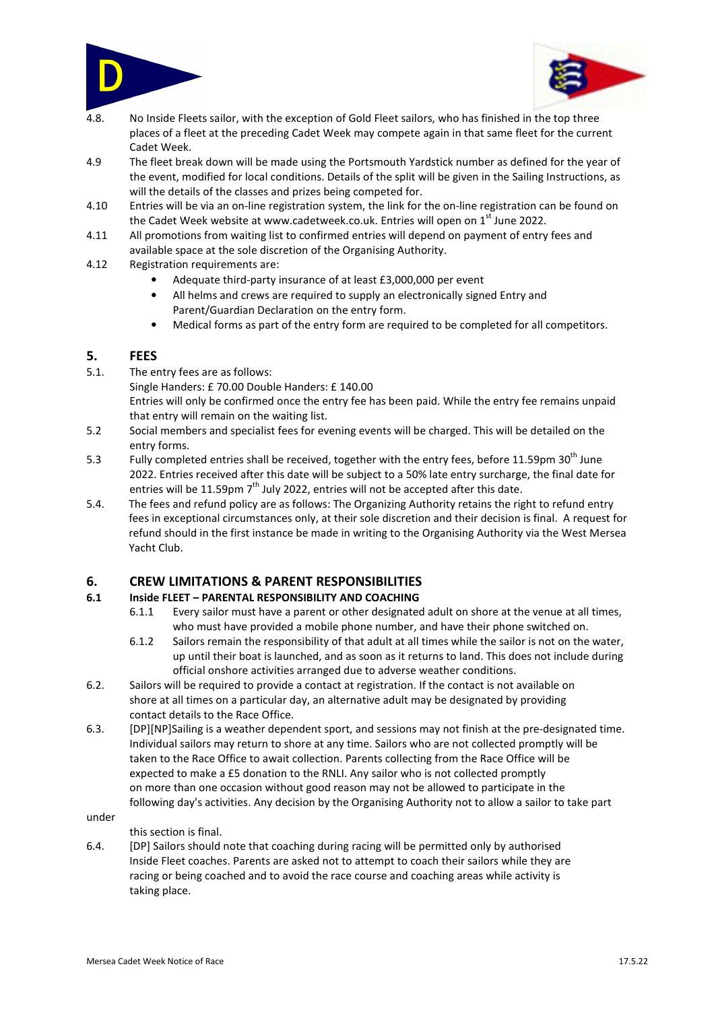



- 4.8. No Inside Fleets sailor, with the exception of Gold Fleet sailors, who has finished in the top three places of a fleet at the preceding Cadet Week may compete again in that same fleet for the current Cadet Week.
- 4.9 The fleet break down will be made using the Portsmouth Yardstick number as defined for the year of the event, modified for local conditions. Details of the split will be given in the Sailing Instructions, as will the details of the classes and prizes being competed for.
- 4.10 Entries will be via an on-line registration system, the link for the on-line registration can be found on the Cadet Week website at www.cadetweek.co.uk. Entries will open on  $1<sup>st</sup>$  June 2022.
- 4.11 All promotions from waiting list to confirmed entries will depend on payment of entry fees and available space at the sole discretion of the Organising Authority.
- 4.12 Registration requirements are:
	- Adequate third-party insurance of at least £3,000,000 per event
	- All helms and crews are required to supply an electronically signed Entry and Parent/Guardian Declaration on the entry form.
	- Medical forms as part of the entry form are required to be completed for all competitors.

## **5. FEES**

5.1. The entry fees are as follows:

Single Handers: £ 70.00 Double Handers: £ 140.00

Entries will only be confirmed once the entry fee has been paid. While the entry fee remains unpaid that entry will remain on the waiting list.

- 5.2 Social members and specialist fees for evening events will be charged. This will be detailed on the entry forms.
- 5.3 Fully completed entries shall be received, together with the entry fees, before 11.59pm 30<sup>th</sup> June 2022. Entries received after this date will be subject to a 50% late entry surcharge, the final date for entries will be 11.59pm  $7<sup>th</sup>$  July 2022, entries will not be accepted after this date.
- 5.4. The fees and refund policy are as follows: The Organizing Authority retains the right to refund entry fees in exceptional circumstances only, at their sole discretion and their decision is final. A request for refund should in the first instance be made in writing to the Organising Authority via the West Mersea Yacht Club.

## **6. CREW LIMITATIONS & PARENT RESPONSIBILITIES**

## **6.1 Inside FLEET – PARENTAL RESPONSIBILITY AND COACHING**

- 6.1.1 Every sailor must have a parent or other designated adult on shore at the venue at all times, who must have provided a mobile phone number, and have their phone switched on.
- 6.1.2 Sailors remain the responsibility of that adult at all times while the sailor is not on the water, up until their boat is launched, and as soon as it returns to land. This does not include during official onshore activities arranged due to adverse weather conditions.
- 6.2. Sailors will be required to provide a contact at registration. If the contact is not available on shore at all times on a particular day, an alternative adult may be designated by providing contact details to the Race Office.
- 6.3. [DP][NP]Sailing is a weather dependent sport, and sessions may not finish at the pre-designated time. Individual sailors may return to shore at any time. Sailors who are not collected promptly will be taken to the Race Office to await collection. Parents collecting from the Race Office will be expected to make a £5 donation to the RNLI. Any sailor who is not collected promptly on more than one occasion without good reason may not be allowed to participate in the following day's activities. Any decision by the Organising Authority not to allow a sailor to take part

#### under

#### this section is final.

6.4. [DP] Sailors should note that coaching during racing will be permitted only by authorised Inside Fleet coaches. Parents are asked not to attempt to coach their sailors while they are racing or being coached and to avoid the race course and coaching areas while activity is taking place.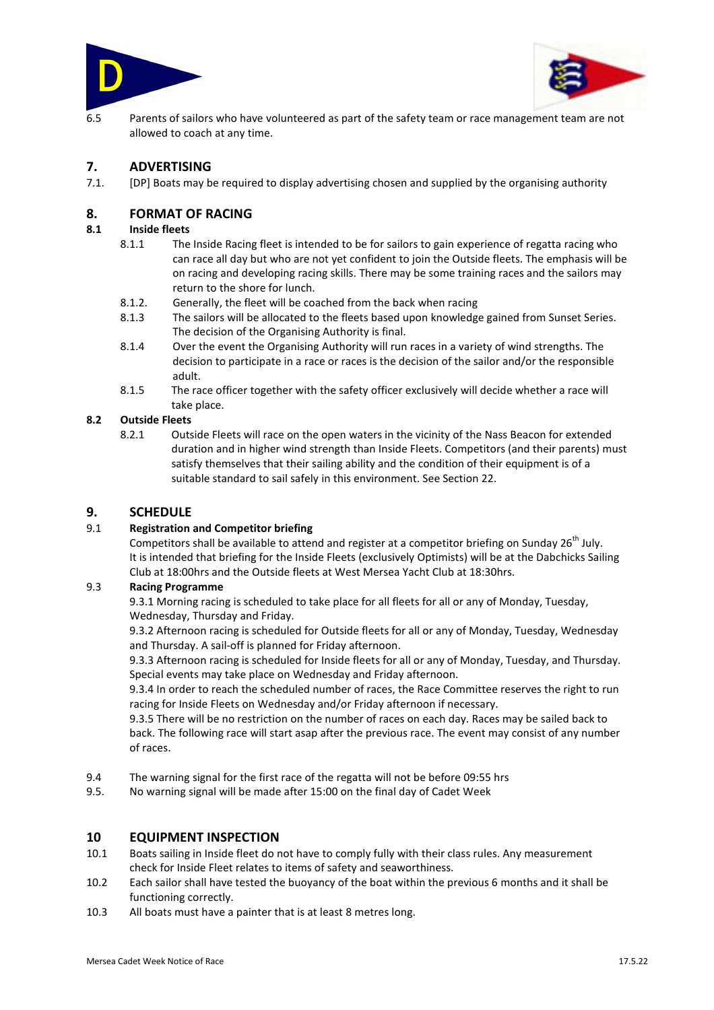



6.5 Parents of sailors who have volunteered as part of the safety team or race management team are not allowed to coach at any time.

## **7. ADVERTISING**

7.1. [DP] Boats may be required to display advertising chosen and supplied by the organising authority

## **8. FORMAT OF RACING**

#### **8.1 Inside fleets**

- 8.1.1 The Inside Racing fleet is intended to be for sailors to gain experience of regatta racing who can race all day but who are not yet confident to join the Outside fleets. The emphasis will be on racing and developing racing skills. There may be some training races and the sailors may return to the shore for lunch.
- 8.1.2. Generally, the fleet will be coached from the back when racing
- 8.1.3 The sailors will be allocated to the fleets based upon knowledge gained from Sunset Series. The decision of the Organising Authority is final.
- 8.1.4 Over the event the Organising Authority will run races in a variety of wind strengths. The decision to participate in a race or races is the decision of the sailor and/or the responsible adult.
- 8.1.5 The race officer together with the safety officer exclusively will decide whether a race will take place.

#### **8.2 Outside Fleets**

8.2.1 Outside Fleets will race on the open waters in the vicinity of the Nass Beacon for extended duration and in higher wind strength than Inside Fleets. Competitors (and their parents) must satisfy themselves that their sailing ability and the condition of their equipment is of a suitable standard to sail safely in this environment. See Section 22.

## **9. SCHEDULE**

#### 9.1 **Registration and Competitor briefing**

Competitors shall be available to attend and register at a competitor briefing on Sunday 26<sup>th</sup> July. It is intended that briefing for the Inside Fleets (exclusively Optimists) will be at the Dabchicks Sailing Club at 18:00hrs and the Outside fleets at West Mersea Yacht Club at 18:30hrs.

#### 9.3 **Racing Programme**

9.3.1 Morning racing is scheduled to take place for all fleets for all or any of Monday, Tuesday, Wednesday, Thursday and Friday.

9.3.2 Afternoon racing is scheduled for Outside fleets for all or any of Monday, Tuesday, Wednesday and Thursday. A sail-off is planned for Friday afternoon.

9.3.3 Afternoon racing is scheduled for Inside fleets for all or any of Monday, Tuesday, and Thursday. Special events may take place on Wednesday and Friday afternoon.

9.3.4 In order to reach the scheduled number of races, the Race Committee reserves the right to run racing for Inside Fleets on Wednesday and/or Friday afternoon if necessary.

9.3.5 There will be no restriction on the number of races on each day. Races may be sailed back to back. The following race will start asap after the previous race. The event may consist of any number of races.

- 9.4 The warning signal for the first race of the regatta will not be before 09:55 hrs
- 9.5. No warning signal will be made after 15:00 on the final day of Cadet Week

## **10 EQUIPMENT INSPECTION**

- 10.1 Boats sailing in Inside fleet do not have to comply fully with their class rules. Any measurement check for Inside Fleet relates to items of safety and seaworthiness.
- 10.2 Each sailor shall have tested the buoyancy of the boat within the previous 6 months and it shall be functioning correctly.
- 10.3 All boats must have a painter that is at least 8 metres long.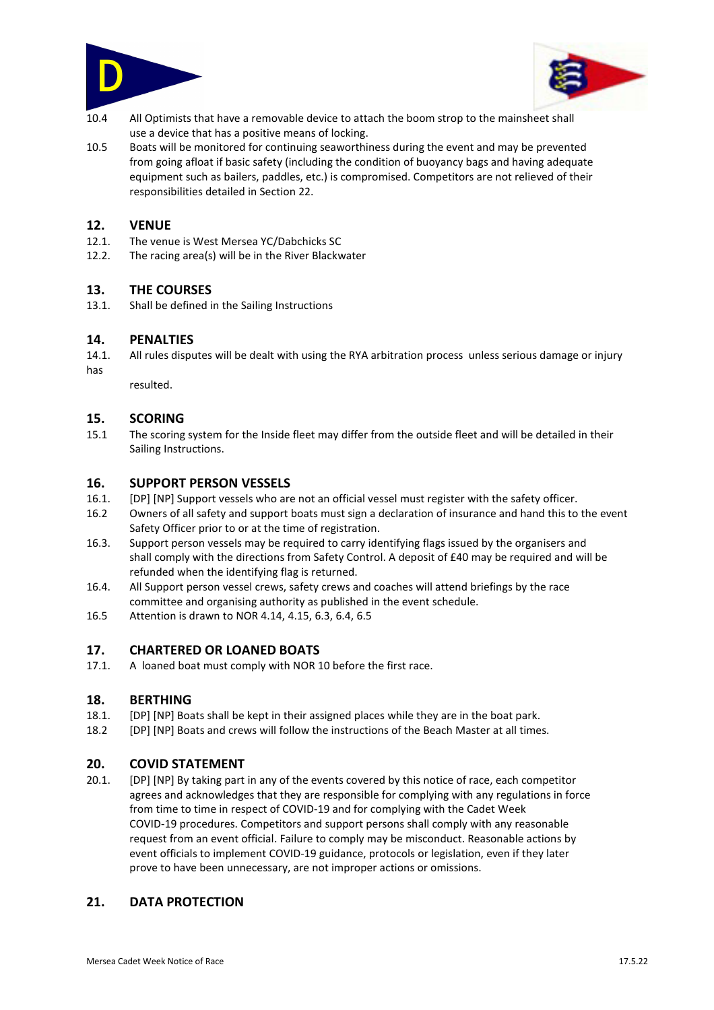



- 10.4 All Optimists that have a removable device to attach the boom strop to the mainsheet shall use a device that has a positive means of locking.
- 10.5 Boats will be monitored for continuing seaworthiness during the event and may be prevented from going afloat if basic safety (including the condition of buoyancy bags and having adequate equipment such as bailers, paddles, etc.) is compromised. Competitors are not relieved of their responsibilities detailed in Section 22.

## **12. VENUE**

- 12.1. The venue is West Mersea YC/Dabchicks SC
- 12.2. The racing area(s) will be in the River Blackwater

## **13. THE COURSES**

13.1. Shall be defined in the Sailing Instructions

## **14. PENALTIES**

14.1. All rules disputes will be dealt with using the RYA arbitration process unless serious damage or injury has

resulted.

## **15. SCORING**

15.1 The scoring system for the Inside fleet may differ from the outside fleet and will be detailed in their Sailing Instructions.

## **16. SUPPORT PERSON VESSELS**

- 16.1. [DP] [NP] Support vessels who are not an official vessel must register with the safety officer.
- 16.2 Owners of all safety and support boats must sign a declaration of insurance and hand this to the event Safety Officer prior to or at the time of registration.
- 16.3. Support person vessels may be required to carry identifying flags issued by the organisers and shall comply with the directions from Safety Control. A deposit of £40 may be required and will be refunded when the identifying flag is returned.
- 16.4. All Support person vessel crews, safety crews and coaches will attend briefings by the race committee and organising authority as published in the event schedule.
- 16.5 Attention is drawn to NOR 4.14, 4.15, 6.3, 6.4, 6.5

## **17. CHARTERED OR LOANED BOATS**

17.1. A loaned boat must comply with NOR 10 before the first race.

## **18. BERTHING**

- 18.1. [DP] [NP] Boats shall be kept in their assigned places while they are in the boat park.
- 18.2 [DP] [NP] Boats and crews will follow the instructions of the Beach Master at all times.

## **20. COVID STATEMENT**

20.1. [DP] [NP] By taking part in any of the events covered by this notice of race, each competitor agrees and acknowledges that they are responsible for complying with any regulations in force from time to time in respect of COVID-19 and for complying with the Cadet Week COVID-19 procedures. Competitors and support persons shall comply with any reasonable request from an event official. Failure to comply may be misconduct. Reasonable actions by event officials to implement COVID-19 guidance, protocols or legislation, even if they later prove to have been unnecessary, are not improper actions or omissions.

## **21. DATA PROTECTION**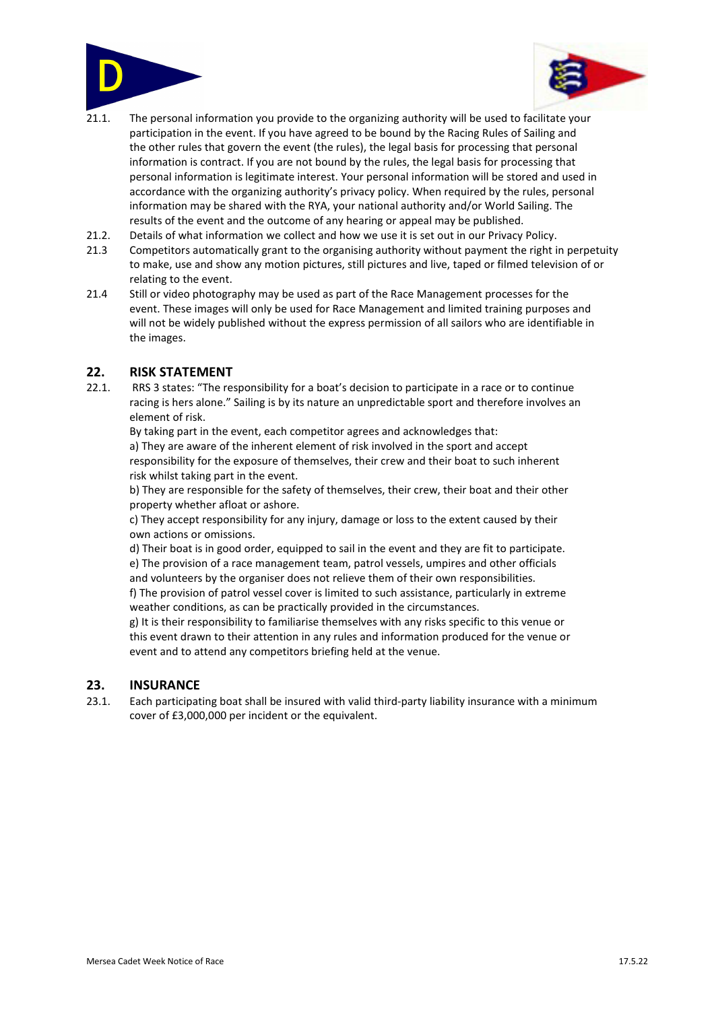



- 21.1. The personal information you provide to the organizing authority will be used to facilitate your participation in the event. If you have agreed to be bound by the Racing Rules of Sailing and the other rules that govern the event (the rules), the legal basis for processing that personal information is contract. If you are not bound by the rules, the legal basis for processing that personal information is legitimate interest. Your personal information will be stored and used in accordance with the organizing authority's privacy policy. When required by the rules, personal information may be shared with the RYA, your national authority and/or World Sailing. The results of the event and the outcome of any hearing or appeal may be published.
- 21.2. Details of what information we collect and how we use it is set out in our Privacy Policy.
- 21.3 Competitors automatically grant to the organising authority without payment the right in perpetuity to make, use and show any motion pictures, still pictures and live, taped or filmed television of or relating to the event.
- 21.4 Still or video photography may be used as part of the Race Management processes for the event. These images will only be used for Race Management and limited training purposes and will not be widely published without the express permission of all sailors who are identifiable in the images.

## **22. RISK STATEMENT**

22.1. RRS 3 states: "The responsibility for a boat's decision to participate in a race or to continue racing is hers alone." Sailing is by its nature an unpredictable sport and therefore involves an element of risk.

By taking part in the event, each competitor agrees and acknowledges that: a) They are aware of the inherent element of risk involved in the sport and accept responsibility for the exposure of themselves, their crew and their boat to such inherent

risk whilst taking part in the event. b) They are responsible for the safety of themselves, their crew, their boat and their other property whether afloat or ashore.

c) They accept responsibility for any injury, damage or loss to the extent caused by their own actions or omissions.

d) Their boat is in good order, equipped to sail in the event and they are fit to participate. e) The provision of a race management team, patrol vessels, umpires and other officials and volunteers by the organiser does not relieve them of their own responsibilities.

f) The provision of patrol vessel cover is limited to such assistance, particularly in extreme weather conditions, as can be practically provided in the circumstances.

g) It is their responsibility to familiarise themselves with any risks specific to this venue or this event drawn to their attention in any rules and information produced for the venue or event and to attend any competitors briefing held at the venue.

## **23. INSURANCE**

23.1. Each participating boat shall be insured with valid third-party liability insurance with a minimum cover of £3,000,000 per incident or the equivalent.